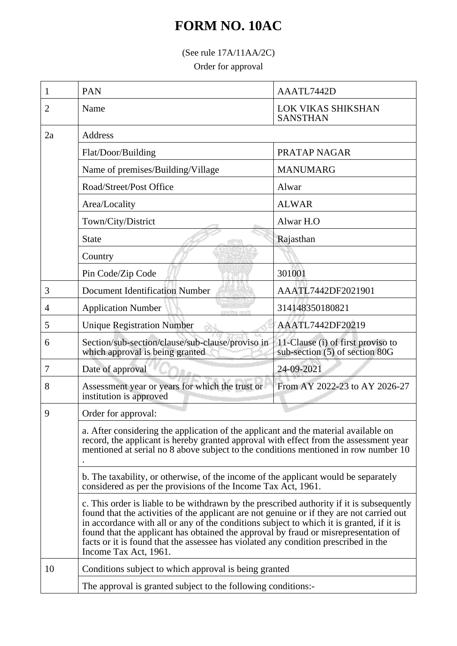## **FORM NO. 10AC**

(See rule 17A/11AA/2C)

Order for approval

| 1  | <b>PAN</b>                                                                                                                                                                                                                                                                                                                                                                                                                                                                                | AAATL7442D                                                          |  |  |
|----|-------------------------------------------------------------------------------------------------------------------------------------------------------------------------------------------------------------------------------------------------------------------------------------------------------------------------------------------------------------------------------------------------------------------------------------------------------------------------------------------|---------------------------------------------------------------------|--|--|
| 2  | Name                                                                                                                                                                                                                                                                                                                                                                                                                                                                                      | <b>LOK VIKAS SHIKSHAN</b><br><b>SANSTHAN</b>                        |  |  |
| 2a | Address                                                                                                                                                                                                                                                                                                                                                                                                                                                                                   |                                                                     |  |  |
|    | Flat/Door/Building                                                                                                                                                                                                                                                                                                                                                                                                                                                                        | PRATAP NAGAR                                                        |  |  |
|    | Name of premises/Building/Village                                                                                                                                                                                                                                                                                                                                                                                                                                                         | <b>MANUMARG</b>                                                     |  |  |
|    | Road/Street/Post Office                                                                                                                                                                                                                                                                                                                                                                                                                                                                   | Alwar                                                               |  |  |
|    | Area/Locality                                                                                                                                                                                                                                                                                                                                                                                                                                                                             | <b>ALWAR</b>                                                        |  |  |
|    | Town/City/District                                                                                                                                                                                                                                                                                                                                                                                                                                                                        | Alwar H.O                                                           |  |  |
|    | <b>State</b>                                                                                                                                                                                                                                                                                                                                                                                                                                                                              | Rajasthan                                                           |  |  |
|    | Country                                                                                                                                                                                                                                                                                                                                                                                                                                                                                   |                                                                     |  |  |
|    | Pin Code/Zip Code                                                                                                                                                                                                                                                                                                                                                                                                                                                                         | 301001                                                              |  |  |
| 3  | <b>Document Identification Number</b>                                                                                                                                                                                                                                                                                                                                                                                                                                                     | AAATL7442DF2021901                                                  |  |  |
| 4  | <b>Application Number</b><br>mmathas sun                                                                                                                                                                                                                                                                                                                                                                                                                                                  | 314148350180821                                                     |  |  |
| 5  | <b>Unique Registration Number</b>                                                                                                                                                                                                                                                                                                                                                                                                                                                         | AAATL7442DF20219                                                    |  |  |
| 6  | Section/sub-section/clause/sub-clause/proviso in<br>which approval is being granted                                                                                                                                                                                                                                                                                                                                                                                                       | 11-Clause (i) of first proviso to<br>sub-section (5) of section 80G |  |  |
| 7  | Date of approval                                                                                                                                                                                                                                                                                                                                                                                                                                                                          | 24-09-2021                                                          |  |  |
| 8  | Assessment year or years for which the trust or<br>institution is approved                                                                                                                                                                                                                                                                                                                                                                                                                | From AY 2022-23 to AY 2026-27                                       |  |  |
| 9  | Order for approval:                                                                                                                                                                                                                                                                                                                                                                                                                                                                       |                                                                     |  |  |
|    | a. After considering the application of the applicant and the material available on<br>record, the applicant is hereby granted approval with effect from the assessment year<br>mentioned at serial no 8 above subject to the conditions mentioned in row number 10                                                                                                                                                                                                                       |                                                                     |  |  |
|    | b. The taxability, or otherwise, of the income of the applicant would be separately<br>considered as per the provisions of the Income Tax Act, 1961.                                                                                                                                                                                                                                                                                                                                      |                                                                     |  |  |
|    | c. This order is liable to be withdrawn by the prescribed authority if it is subsequently<br>found that the activities of the applicant are not genuine or if they are not carried out<br>in accordance with all or any of the conditions subject to which it is granted, if it is<br>found that the applicant has obtained the approval by fraud or misrepresentation of<br>facts or it is found that the assessee has violated any condition prescribed in the<br>Income Tax Act, 1961. |                                                                     |  |  |
| 10 | Conditions subject to which approval is being granted                                                                                                                                                                                                                                                                                                                                                                                                                                     |                                                                     |  |  |
|    | The approval is granted subject to the following conditions:                                                                                                                                                                                                                                                                                                                                                                                                                              |                                                                     |  |  |